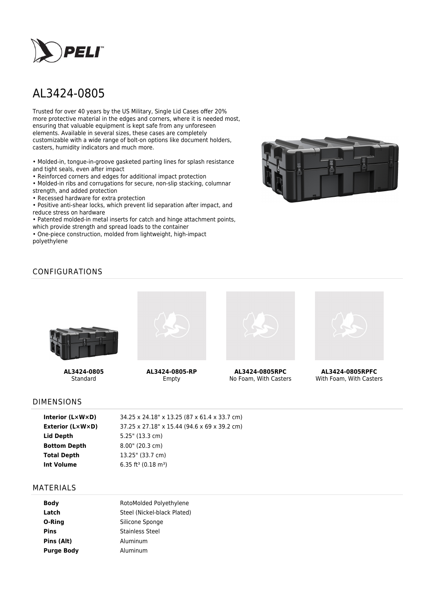

# AL3424-0805

Trusted for over 40 years by the US Military, Single Lid Cases offer 20% more protective material in the edges and corners, where it is needed most, ensuring that valuable equipment is kept safe from any unforeseen elements. Available in several sizes, these cases are completely customizable with a wide range of bolt-on options like document holders, casters, humidity indicators and much more.

• Molded-in, tongue-in-groove gasketed parting lines for splash resistance and tight seals, even after impact

• Reinforced corners and edges for additional impact protection

• Molded-in ribs and corrugations for secure, non-slip stacking, columnar strength, and added protection

• Recessed hardware for extra protection

• Positive anti-shear locks, which prevent lid separation after impact, and reduce stress on hardware

• Patented molded-in metal inserts for catch and hinge attachment points, which provide strength and spread loads to the container

• One-piece construction, molded from lightweight, high-impact polyethylene



# CONFIGURATIONS



**AL3424-0805** Standard



**AL3424-0805-RP** Empty



**AL3424-0805RPC** No Foam, With Casters



**AL3424-0805RPFC** With Foam, With Casters

#### DIMENSIONS

#### MATERIALS

| <b>Body</b>       | RotoMolded Polyethylene     |  |  |
|-------------------|-----------------------------|--|--|
|                   |                             |  |  |
| Latch             | Steel (Nickel-black Plated) |  |  |
| O-Ring            | Silicone Sponge             |  |  |
| <b>Pins</b>       | Stainless Steel             |  |  |
| Pins (Alt)        | Aluminum                    |  |  |
| <b>Purge Body</b> | Aluminum                    |  |  |